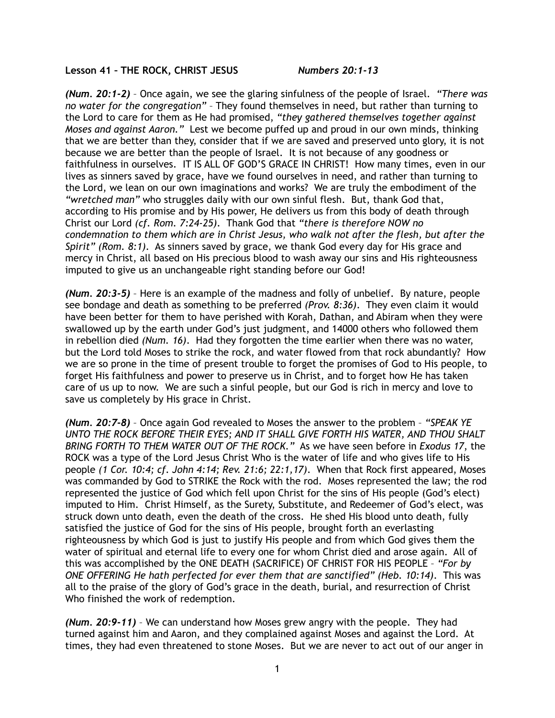**Lesson 41 – THE ROCK, CHRIST JESUS** *Numbers 20:1-13* 

*(Num. 20:1-2)* – Once again, we see the glaring sinfulness of the people of Israel. *"There was no water for the congregation"* – They found themselves in need, but rather than turning to the Lord to care for them as He had promised, *"they gathered themselves together against Moses and against Aaron."* Lest we become puffed up and proud in our own minds, thinking that we are better than they, consider that if we are saved and preserved unto glory, it is not because we are better than the people of Israel. It is not because of any goodness or faithfulness in ourselves. IT IS ALL OF GOD'S GRACE IN CHRIST! How many times, even in our lives as sinners saved by grace, have we found ourselves in need, and rather than turning to the Lord, we lean on our own imaginations and works? We are truly the embodiment of the *"wretched man"* who struggles daily with our own sinful flesh. But, thank God that, according to His promise and by His power, He delivers us from this body of death through Christ our Lord *(cf. Rom. 7:24-25)*. Thank God that *"there is therefore NOW no condemnation to them which are in Christ Jesus, who walk not after the flesh, but after the Spirit" (Rom. 8:1)*. As sinners saved by grace, we thank God every day for His grace and mercy in Christ, all based on His precious blood to wash away our sins and His righteousness imputed to give us an unchangeable right standing before our God!

*(Num. 20:3-5)* – Here is an example of the madness and folly of unbelief. By nature, people see bondage and death as something to be preferred *(Prov. 8:36)*. They even claim it would have been better for them to have perished with Korah, Dathan, and Abiram when they were swallowed up by the earth under God's just judgment, and 14000 others who followed them in rebellion died *(Num. 16)*. Had they forgotten the time earlier when there was no water, but the Lord told Moses to strike the rock, and water flowed from that rock abundantly? How we are so prone in the time of present trouble to forget the promises of God to His people, to forget His faithfulness and power to preserve us in Christ, and to forget how He has taken care of us up to now. We are such a sinful people, but our God is rich in mercy and love to save us completely by His grace in Christ.

*(Num. 20:7-8)* – Once again God revealed to Moses the answer to the problem – *"SPEAK YE UNTO THE ROCK BEFORE THEIR EYES; AND IT SHALL GIVE FORTH HIS WATER, AND THOU SHALT BRING FORTH TO THEM WATER OUT OF THE ROCK."* As we have seen before in *Exodus 17*, the ROCK was a type of the Lord Jesus Christ Who is the water of life and who gives life to His people *(1 Cor. 10:4; cf. John 4:14; Rev. 21:6; 22:1,17)*. When that Rock first appeared, Moses was commanded by God to STRIKE the Rock with the rod. Moses represented the law; the rod represented the justice of God which fell upon Christ for the sins of His people (God's elect) imputed to Him. Christ Himself, as the Surety, Substitute, and Redeemer of God's elect, was struck down unto death, even the death of the cross. He shed His blood unto death, fully satisfied the justice of God for the sins of His people, brought forth an everlasting righteousness by which God is just to justify His people and from which God gives them the water of spiritual and eternal life to every one for whom Christ died and arose again. All of this was accomplished by the ONE DEATH (SACRIFICE) OF CHRIST FOR HIS PEOPLE – *"For by ONE OFFERING He hath perfected for ever them that are sanctified" (Heb. 10:14)*. This was all to the praise of the glory of God's grace in the death, burial, and resurrection of Christ Who finished the work of redemption.

*(Num. 20:9-11)* – We can understand how Moses grew angry with the people. They had turned against him and Aaron, and they complained against Moses and against the Lord. At times, they had even threatened to stone Moses. But we are never to act out of our anger in